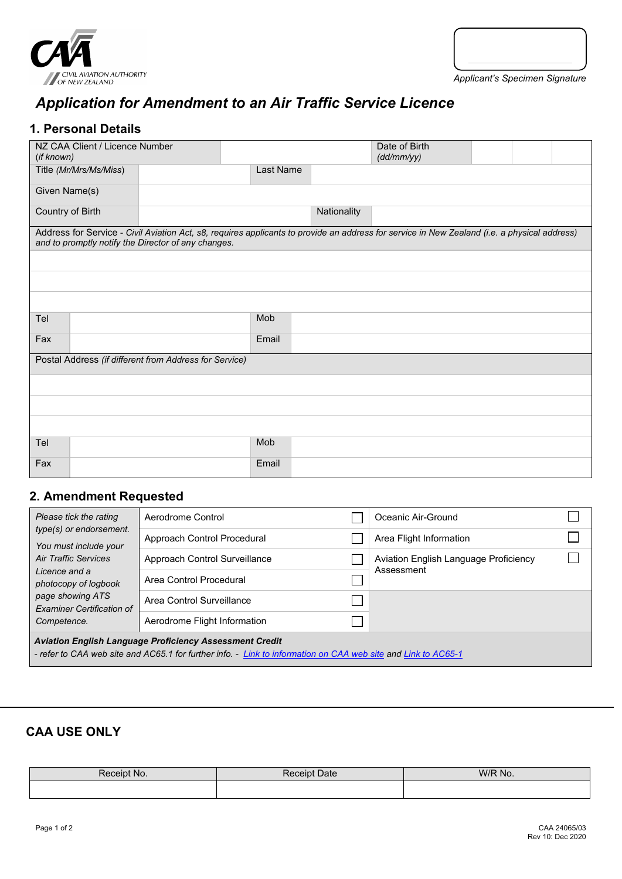



# *Application for Amendment to an Air Traffic Service Licence*

# **1. Personal Details**

| NZ CAA Client / Licence Number<br>(if known)           |                                                                                                                                                                                                     |  |           |             | Date of Birth<br>(dd/mm/yy) |  |  |  |
|--------------------------------------------------------|-----------------------------------------------------------------------------------------------------------------------------------------------------------------------------------------------------|--|-----------|-------------|-----------------------------|--|--|--|
| Title (Mr/Mrs/Ms/Miss)                                 |                                                                                                                                                                                                     |  | Last Name |             |                             |  |  |  |
| Given Name(s)                                          |                                                                                                                                                                                                     |  |           |             |                             |  |  |  |
| Country of Birth                                       |                                                                                                                                                                                                     |  |           | Nationality |                             |  |  |  |
|                                                        | Address for Service - Civil Aviation Act, s8, requires applicants to provide an address for service in New Zealand (i.e. a physical address)<br>and to promptly notify the Director of any changes. |  |           |             |                             |  |  |  |
|                                                        |                                                                                                                                                                                                     |  |           |             |                             |  |  |  |
|                                                        |                                                                                                                                                                                                     |  |           |             |                             |  |  |  |
|                                                        |                                                                                                                                                                                                     |  |           |             |                             |  |  |  |
| Tel                                                    |                                                                                                                                                                                                     |  |           | Mob         |                             |  |  |  |
| Fax                                                    |                                                                                                                                                                                                     |  |           | Email       |                             |  |  |  |
| Postal Address (if different from Address for Service) |                                                                                                                                                                                                     |  |           |             |                             |  |  |  |
|                                                        |                                                                                                                                                                                                     |  |           |             |                             |  |  |  |
|                                                        |                                                                                                                                                                                                     |  |           |             |                             |  |  |  |
|                                                        |                                                                                                                                                                                                     |  |           |             |                             |  |  |  |
| Tel                                                    |                                                                                                                                                                                                     |  |           | Mob         |                             |  |  |  |
| Fax                                                    |                                                                                                                                                                                                     |  |           | Email       |                             |  |  |  |

# **2. Amendment Requested**

| Please tick the rating                                                                                                                                                          | Aerodrome Control             |  | Oceanic Air-Ground                    |  |  |  |
|---------------------------------------------------------------------------------------------------------------------------------------------------------------------------------|-------------------------------|--|---------------------------------------|--|--|--|
| type(s) or endorsement.<br>You must include your                                                                                                                                | Approach Control Procedural   |  | Area Flight Information               |  |  |  |
| Air Traffic Services                                                                                                                                                            | Approach Control Surveillance |  | Aviation English Language Proficiency |  |  |  |
| Licence and a<br>photocopy of logbook                                                                                                                                           | Area Control Procedural       |  | Assessment                            |  |  |  |
| page showing ATS<br><b>Examiner Certification of</b>                                                                                                                            | Area Control Surveillance     |  |                                       |  |  |  |
| Competence.                                                                                                                                                                     | Aerodrome Flight Information  |  |                                       |  |  |  |
| <b>Aviation English Language Proficiency Assessment Credit</b><br>- refer to CAA web site and AC65.1 for further info. - Link to information on CAA web site and Link to AC65-1 |                               |  |                                       |  |  |  |

# **CAA USE ONLY**

| <b>Paceint</b><br>NO. | <b>Receipt Date</b> | W/R No. |  |  |
|-----------------------|---------------------|---------|--|--|
|                       |                     |         |  |  |